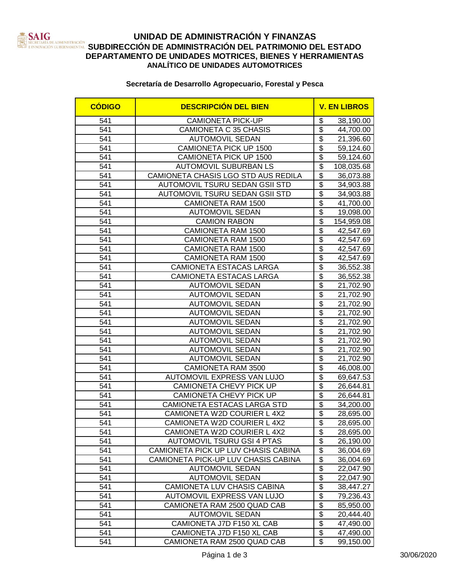

# **UNIDAD DE ADMINISTRACIÓN Y FINANZAS SUBDIRECCIÓN DE ADMINISTRACIÓN DEL PATRIMONIO DEL ESTADO**<br>EXERCISIÓN DE ADMINISTRACIÓN DEL PATRIMONIO DEL ESTADO **DEPARTAMENTO DE UNIDADES MOTRICES, BIENES Y HERRAMIENTAS ANALÍTICO DE UNIDADES AUTOMOTRICES**

### **Secretaría de Desarrollo Agropecuario, Forestal y Pesca**

| <b>CÓDIGO</b> | <b>DESCRIPCIÓN DEL BIEN</b>         |                                        | <b>V. EN LIBROS</b> |
|---------------|-------------------------------------|----------------------------------------|---------------------|
| 541           | <b>CAMIONETA PICK-UP</b>            | \$                                     | 38,190.00           |
| 541           | CAMIONETA C 35 CHASIS               | $\overline{\$}$                        | 44,700.00           |
| 541           | <b>AUTOMOVIL SEDAN</b>              | $\overline{\mathfrak{s}}$              | 21,396.60           |
| 541           | CAMIONETA PICK UP 1500              | $\overline{\mathfrak{s}}$              | 59,124.60           |
| 541           | CAMIONETA PICK UP 1500              | $\overline{\$}$                        | 59,124.60           |
| 541           | <b>AUTOMOVIL SUBURBAN LS</b>        | \$                                     | 108,035.68          |
| 541           | CAMIONETA CHASIS LGO STD AUS REDILA | \$                                     | 36,073.88           |
| 541           | AUTOMOVIL TSURU SEDAN GSII STD      | $\overline{\mathfrak{s}}$              | 34,903.88           |
| 541           | AUTOMOVIL TSURU SEDAN GSII STD      | $\overline{\$}$                        | 34,903.88           |
| 541           | <b>CAMIONETA RAM 1500</b>           | $\overline{\mathfrak{s}}$              | 41,700.00           |
| 541           | <b>AUTOMOVIL SEDAN</b>              | $\overline{\mathfrak{s}}$              | 19,098.00           |
| 541           | <b>CAMION RABON</b>                 | $\overline{\$}$                        | 154,959.08          |
| 541           | <b>CAMIONETA RAM 1500</b>           | $\overline{\mathbb{S}}$                | 42,547.69           |
| 541           | CAMIONETA RAM 1500                  | $\overline{\$}$                        | 42,547.69           |
| 541           | CAMIONETA RAM 1500                  | $\overline{\$}$                        | 42,547.69           |
| 541           | <b>CAMIONETA RAM 1500</b>           | $\overline{\$}$                        | 42,547.69           |
| 541           | CAMIONETA ESTACAS LARGA             | $\overline{\mathcal{G}}$               | 36,552.38           |
| 541           | CAMIONETA ESTACAS LARGA             | $\overline{\mathcal{G}}$               | 36,552.38           |
| 541           | <b>AUTOMOVIL SEDAN</b>              | $\overline{\boldsymbol{\mathfrak{s}}}$ | 21,702.90           |
| 541           | <b>AUTOMOVIL SEDAN</b>              | $\overline{\mathcal{S}}$               | 21,702.90           |
| 541           | <b>AUTOMOVIL SEDAN</b>              | $\overline{\$}$                        | 21,702.90           |
| 541           | <b>AUTOMOVIL SEDAN</b>              | $\overline{\mathcal{S}}$               | 21,702.90           |
| 541           | <b>AUTOMOVIL SEDAN</b>              | $\overline{\$}$                        | 21,702.90           |
| 541           | <b>AUTOMOVIL SEDAN</b>              | $\overline{\$}$                        | 21,702.90           |
| 541           | <b>AUTOMOVIL SEDAN</b>              | $\overline{\mathcal{S}}$               | 21,702.90           |
| 541           | <b>AUTOMOVIL SEDAN</b>              | $\overline{\$}$                        | 21,702.90           |
| 541           | <b>AUTOMOVIL SEDAN</b>              | $\overline{\$}$                        | 21,702.90           |
| 541           | CAMIONETA RAM 3500                  | $\overline{\mathcal{G}}$               | 46,008.00           |
| 541           | AUTOMOVIL EXPRESS VAN LUJO          | $\overline{\mathfrak{s}}$              | 69,647.53           |
| 541           | CAMIONETA CHEVY PICK UP             | $\overline{\$}$                        | 26,644.81           |
| 541           | CAMIONETA CHEVY PICK UP             | \$                                     | 26,644.81           |
| 541           | CAMIONETA ESTACAS LARGA STD         | $\overline{\mathcal{S}}$               | 34,200.00           |
| 541           | CAMIONETA W2D COURIER L 4X2         | $\overline{\$}$                        | 28,695.00           |
| 541           | CAMIONETA W2D COURIER L 4X2         | $\overline{\mathbf{G}}$                | 28,695.00           |
| 541           | CAMIONETA W2D COURIER L 4X2         | \$                                     | 28,695.00           |
| 541           | <b>AUTOMOVIL TSURU GSI 4 PTAS</b>   | $\overline{\$}$                        | 26,190.00           |
| 541           | CAMIONETA PICK UP LUV CHASIS CABINA | \$                                     | 36,004.69           |
| 541           | CAMIONETA PICK-UP LUV CHASIS CABINA | $\overline{\mathcal{S}}$               | 36,004.69           |
| 541           | <b>AUTOMOVIL SEDAN</b>              | $\overline{\$}$                        | 22,047.90           |
| 541           | <b>AUTOMOVIL SEDAN</b>              | $\overline{\$}$                        | 22,047.90           |
| 541           | CAMIONETA LUV CHASIS CABINA         | $\overline{\$}$                        | 38,447.27           |
| 541           | AUTOMOVIL EXPRESS VAN LUJO          | $\overline{\mathcal{S}}$               | 79,236.43           |
| 541           | CAMIONETA RAM 2500 QUAD CAB         | \$                                     | 85,950.00           |
| 541           | <b>AUTOMOVIL SEDAN</b>              | \$                                     | 20,444.40           |
| 541           | CAMIONETA J7D F150 XL CAB           | $\overline{\mathbf{e}}$                | 47,490.00           |
| 541           | CAMIONETA J7D F150 XL CAB           | $\overline{\mathbf{e}}$                | 47,490.00           |
| 541           | CAMIONETA RAM 2500 QUAD CAB         | $\overline{\mathcal{E}}$               | 99,150.00           |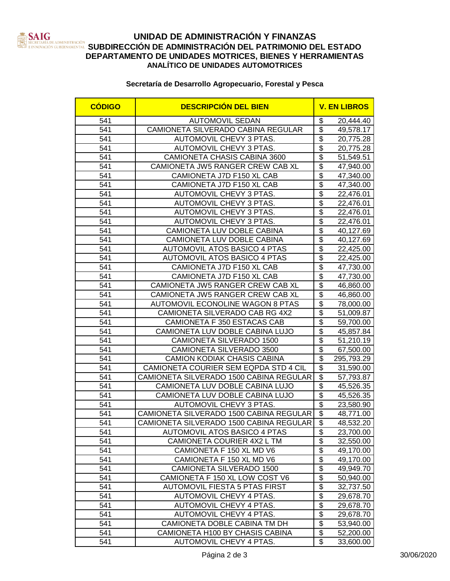

# **UNIDAD DE ADMINISTRACIÓN Y FINANZAS SUBDIRECCIÓN DE ADMINISTRACIÓN DEL PATRIMONIO DEL ESTADO**<br>INTERNATION CUBERNAMENTAL SUBDIRECCIÓN DE ADMINISTRACIÓN DEL PATRIMONIO DEL ESTADO **DEPARTAMENTO DE UNIDADES MOTRICES, BIENES Y HERRAMIENTAS ANALÍTICO DE UNIDADES AUTOMOTRICES**

### **Secretaría de Desarrollo Agropecuario, Forestal y Pesca**

| <b>CÓDIGO</b> | <b>DESCRIPCIÓN DEL BIEN</b>             | <b>V. EN LIBROS</b>                     |
|---------------|-----------------------------------------|-----------------------------------------|
| 541           | <b>AUTOMOVIL SEDAN</b>                  | \$<br>20,444.40                         |
| 541           | CAMIONETA SILVERADO CABINA REGULAR      | $\overline{\$}$<br>49,578.17            |
| 541           | AUTOMOVIL CHEVY 3 PTAS.                 | $\overline{\mathfrak{s}}$<br>20,775.28  |
| 541           | <b>AUTOMOVIL CHEVY 3 PTAS.</b>          | $\overline{\mathfrak{s}}$<br>20,775.28  |
| 541           | CAMIONETA CHASIS CABINA 3600            | $\overline{\mathfrak{s}}$<br>51,549.51  |
| 541           | CAMIONETA JW5 RANGER CREW CAB XL        | $\overline{\mathfrak{s}}$<br>47,940.00  |
| 541           | CAMIONETA J7D F150 XL CAB               | $\overline{\mathcal{S}}$<br>47,340.00   |
| 541           | CAMIONETA J7D F150 XL CAB               | $\overline{\mathcal{S}}$<br>47,340.00   |
| 541           | AUTOMOVIL CHEVY 3 PTAS.                 | $\overline{\$}$<br>22,476.01            |
| 541           | AUTOMOVIL CHEVY 3 PTAS.                 | $\overline{\mathcal{S}}$<br>22,476.01   |
| 541           | AUTOMOVIL CHEVY 3 PTAS.                 | $\overline{\mathcal{S}}$<br>22,476.01   |
| 541           | AUTOMOVIL CHEVY 3 PTAS.                 | $\overline{\$}$<br>22,476.01            |
| 541           | CAMIONETA LUV DOBLE CABINA              | $\overline{\$}$<br>40,127.69            |
| 541           | CAMIONETA LUV DOBLE CABINA              | $\overline{\$}$<br>40,127.69            |
| 541           | <b>AUTOMOVIL ATOS BASICO 4 PTAS</b>     | $\overline{\mathcal{G}}$<br>22,425.00   |
| 541           | <b>AUTOMOVIL ATOS BASICO 4 PTAS</b>     | $\overline{\$}$<br>22,425.00            |
| 541           | CAMIONETA J7D F150 XL CAB               | $\overline{\mathfrak{s}}$<br>47,730.00  |
| 541           | CAMIONETA J7D F150 XL CAB               | \$<br>47,730.00                         |
| 541           | CAMIONETA JW5 RANGER CREW CAB XL        | $\overline{\$}$<br>46,860.00            |
| 541           | CAMIONETA JW5 RANGER CREW CAB XL        | $\overline{\mathcal{S}}$<br>46,860.00   |
| 541           | <b>AUTOMOVIL ECONOLINE WAGON 8 PTAS</b> | $\overline{\mathcal{S}}$<br>78,000.00   |
| 541           | CAMIONETA SILVERADO CAB RG 4X2          | $\overline{\mathfrak{s}}$<br>51,009.87  |
| 541           | CAMIONETA F 350 ESTACAS CAB             | $\overline{\$}$<br>59,700.00            |
| 541           | CAMIONETA LUV DOBLE CABINA LUJO         | $\overline{\mathfrak{s}}$<br>45,857.84  |
| 541           | CAMIONETA SILVERADO 1500                | $\overline{\mathfrak{s}}$<br>51,210.19  |
| 541           | CAMIONETA SILVERADO 3500                | $\overline{\$}$<br>67,500.00            |
| 541           | CAMION KODIAK CHASIS CABINA             | $\overline{\mathfrak{s}}$<br>295,793.29 |
| 541           | CAMIONETA COURIER SEM EQPDA STD 4 CIL   | $\overline{\mathfrak{s}}$<br>31,590.00  |
| 541           | CAMIONETA SILVERADO 1500 CABINA REGULAR | \$<br>57,793.87                         |
| 541           | CAMIONETA LUV DOBLE CABINA LUJO         | $\overline{\mathfrak{s}}$<br>45,526.35  |
| 541           | CAMIONETA LUV DOBLE CABINA LUJO         | $\overline{\mathfrak{s}}$<br>45,526.35  |
| 541           | AUTOMOVIL CHEVY 3 PTAS.                 | $\overline{\$}$<br>23,580.90            |
| 541           | CAMIONETA SILVERADO 1500 CABINA REGULAR | $\overline{\$}$<br>48,771.00            |
| 541           | CAMIONETA SILVERADO 1500 CABINA REGULAR | $\overline{\mathcal{S}}$<br>48,532.20   |
| 541           | AUTOMOVIL ATOS BASICO 4 PTAS            | \$<br>23,700.00                         |
| 541           | CAMIONETA COURIER 4X2 L TM              | $\overline{\mathfrak{s}}$<br>32,550.00  |
| 541           | CAMIONETA F 150 XL MD V6                | $\overline{\mathbf{e}}$<br>49,170.00    |
| 541           | CAMIONETA F 150 XL MD V6                | $\overline{\$}$<br>49,170.00            |
| 541           | CAMIONETA SILVERADO 1500                | $\overline{\$}$<br>49,949.70            |
| 541           | CAMIONETA F 150 XL LOW COST V6          | $\overline{\$}$<br>50,940.00            |
| 541           | <b>AUTOMOVIL FIESTA 5 PTAS FIRST</b>    | $\overline{\mathbf{S}}$<br>32,737.50    |
| 541           | AUTOMOVIL CHEVY 4 PTAS.                 | \$<br>29,678.70                         |
| 541           | AUTOMOVIL CHEVY 4 PTAS.                 | $\overline{\mathbf{e}}$<br>29,678.70    |
| 541           | <b>AUTOMOVIL CHEVY 4 PTAS.</b>          | $\overline{\$}$<br>29,678.70            |
| 541           | CAMIONETA DOBLE CABINA TM DH            | $\overline{\mathbf{e}}$<br>53,940.00    |
| 541           | CAMIONETA H100 BY CHASIS CABINA         | $\overline{\mathbf{e}}$<br>52,200.00    |
| 541           | AUTOMOVIL CHEVY 4 PTAS.                 | $\overline{\mathbf{e}}$<br>33,600.00    |